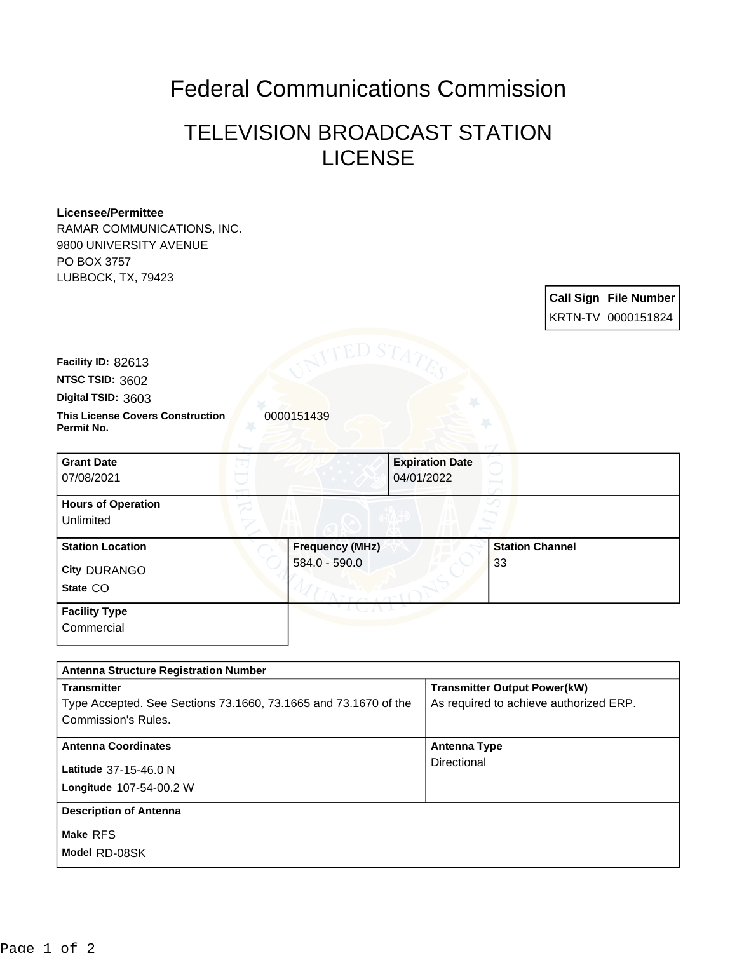## Federal Communications Commission

## TELEVISION BROADCAST STATION LICENSE

## **Licensee/Permittee**

RAMAR COMMUNICATIONS, INC. 9800 UNIVERSITY AVENUE PO BOX 3757 LUBBOCK, TX, 79423

> **Call Sign File Number** KRTN-TV 0000151824

**Facility ID:** 82613

**NTSC TSID:** 3602

**Digital TSID:** 3603

**This License Covers Construction**  0000151439 **Permit No.**

**State** CO **City** DURANGO **Grant Date** 07/08/2021 **Expiration Date** 04/01/2022 **Hours of Operation** Unlimited **Station Location Frequency (MHz)** 584.0 - 590.0 **Station Channel** 33 **Facility Type** Commercial

| <b>Antenna Structure Registration Number</b>                                                                 |                                                                               |  |
|--------------------------------------------------------------------------------------------------------------|-------------------------------------------------------------------------------|--|
| <b>Transmitter</b><br>Type Accepted. See Sections 73.1660, 73.1665 and 73.1670 of the<br>Commission's Rules. | <b>Transmitter Output Power(kW)</b><br>As required to achieve authorized ERP. |  |
| <b>Antenna Coordinates</b><br>Latitude 37-15-46.0 N<br>Longitude 107-54-00.2 W                               | Antenna Type<br>Directional                                                   |  |
| <b>Description of Antenna</b><br>Make RFS<br>Model RD-08SK                                                   |                                                                               |  |